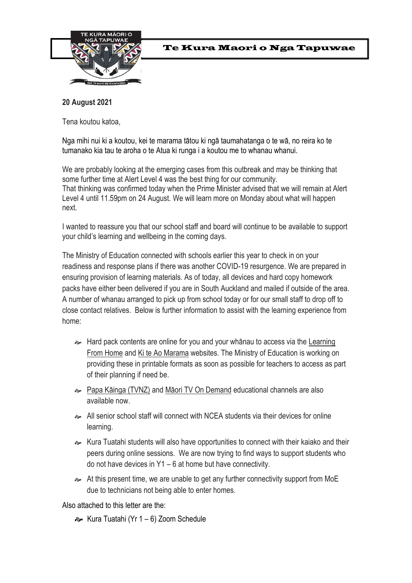

# Te Kura Maori o Nga Tapuwae

# **20 August 2021**

Tena koutou katoa,

Nga mihi nui ki a koutou, kei te marama tātou ki ngā taumahatanga o te wā, no reira ko te tumanako kia tau te aroha o te Atua ki runga i a koutou me to whanau whanui.

We are probably looking at the emerging cases from this outbreak and may be thinking that some further time at Alert Level 4 was the best thing for our community. That thinking was confirmed today when the Prime Minister advised that we will remain at Alert Level 4 until 11.59pm on 24 August*.* We will learn more on Monday about what will happen next.

I wanted to reassure you that our school staff and board will continue to be available to support your child's learning and wellbeing in the coming days.

The Ministry of Education connected with schools earlier this year to check in on your readiness and response plans if there was another COVID-19 resurgence. We are prepared in ensuring provision of learning materials. As of today, all devices and hard copy homework packs have either been delivered if you are in South Auckland and mailed if outside of the area. A number of whanau arranged to pick up from school today or for our small staff to drop off to close contact relatives. Below is further information to assist with the learning experience from home:

- $\sim$  Hard pack contents are online for you and your whanau to access via the [Learning](https://govt.us3.list-manage.com/track/click?u=2f59fcd18a691d315b5a045cb&id=52c377d4c2&e=551505b7b7) [From Home](https://govt.us3.list-manage.com/track/click?u=2f59fcd18a691d315b5a045cb&id=52c377d4c2&e=551505b7b7) and [Ki te Ao Marama](https://govt.us3.list-manage.com/track/click?u=2f59fcd18a691d315b5a045cb&id=7a8a6a4736&e=551505b7b7) websites. The Ministry of Education is working on providing these in printable formats as soon as possible for teachers to access as part of their planning if need be.
- [Papa Kāinga \(TVNZ\)](https://govt.us3.list-manage.com/track/click?u=2f59fcd18a691d315b5a045cb&id=9559b48ed4&e=551505b7b7) and [Māori TV On Demand](https://govt.us3.list-manage.com/track/click?u=2f59fcd18a691d315b5a045cb&id=a19e55a531&e=551505b7b7) educational channels are also available now.
- All senior school staff will connect with NCEA students via their devices for online learning.
- Kura Tuatahi students will also have opportunities to connect with their kaiako and their peers during online sessions. We are now trying to find ways to support students who do not have devices in Y1 – 6 at home but have connectivity.
- At this present time, we are unable to get any further connectivity support from MoE due to technicians not being able to enter homes.

Also attached to this letter are the:

Kura Tuatahi (Yr 1 – 6) Zoom Schedule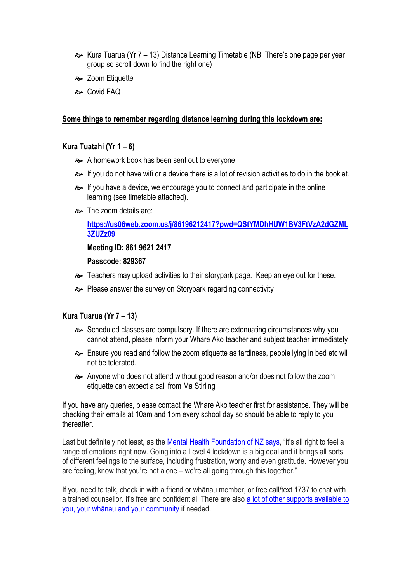- Kura Tuarua (Yr 7 13) Distance Learning Timetable (NB: There's one page per year group so scroll down to find the right one)
- **a** Zoom Etiquette
- Covid FAQ

### **Some things to remember regarding distance learning during this lockdown are:**

### **Kura Tuatahi (Yr 1 – 6)**

- A homework book has been sent out to everyone.
- If you do not have wifi or a device there is a lot of revision activities to do in the booklet.
- If you have a device, we encourage you to connect and participate in the online learning (see timetable attached).
- $\rightarrow$  The zoom details are:

**[https://us06web.zoom.us/j/86196212417?pwd=QStYMDhHUW1BV3FtVzA2dGZML](https://us06web.zoom.us/j/86196212417?pwd=QStYMDhHUW1BV3FtVzA2dGZML3ZUZz09) [3ZUZz09](https://us06web.zoom.us/j/86196212417?pwd=QStYMDhHUW1BV3FtVzA2dGZML3ZUZz09)**

**Meeting ID: 861 9621 2417**

#### **Passcode: 829367**

- Teachers may upload activities to their storypark page. Keep an eye out for these.
- **→** Please answer the survey on Storypark regarding connectivity

### **Kura Tuarua (Yr 7 – 13)**

- Scheduled classes are compulsory. If there are extenuating circumstances why you cannot attend, please inform your Whare Ako teacher and subject teacher immediately
- Ensure you read and follow the zoom etiquette as tardiness, people lying in bed etc will not be tolerated.
- Anyone who does not attend without good reason and/or does not follow the zoom etiquette can expect a call from Ma Stirling

If you have any queries, please contact the Whare Ako teacher first for assistance. They will be checking their emails at 10am and 1pm every school day so should be able to reply to you thereafter.

Last but definitely not least, as the [Mental Health Foundation of NZ says](https://www.facebook.com/mentalhealthfoundationNZ/posts/10158737504528423), "it's all right to feel a range of emotions right now. Going into a Level 4 lockdown is a big deal and it brings all sorts of different feelings to the surface, including frustration, worry and even gratitude. However you are feeling, know that you're not alone – we're all going through this together."

If you need to talk, check in with a friend or whānau member, or free call/text 1737 to chat with a trained counsellor. It's free and confidential. There are also a lot of other supports available to [you, your whānau and your community](https://www.facebook.com/mentalhealthfoundationNZ/posts/10158737504528423) if needed.